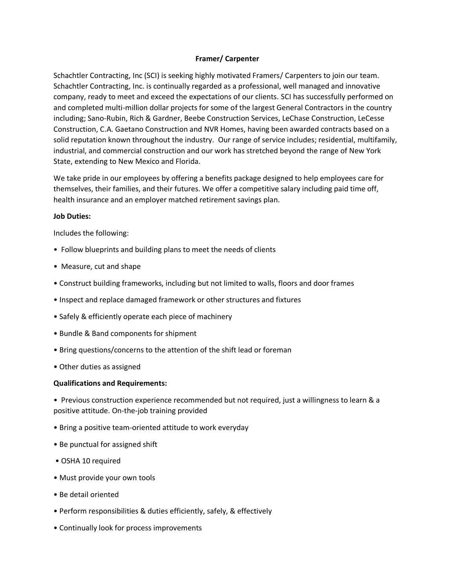## **Framer/ Carpenter**

Schachtler Contracting, Inc (SCI) is seeking highly motivated Framers/ Carpenters to join our team. Schachtler Contracting, Inc. is continually regarded as a professional, well managed and innovative company, ready to meet and exceed the expectations of our clients. SCI has successfully performed on and completed multi-million dollar projects for some of the largest General Contractors in the country including; Sano-Rubin, Rich & Gardner, Beebe Construction Services, LeChase Construction, LeCesse Construction, C.A. Gaetano Construction and NVR Homes, having been awarded contracts based on a solid reputation known throughout the industry. Our range of service includes; residential, multifamily, industrial, and commercial construction and our work has stretched beyond the range of New York State, extending to New Mexico and Florida.

We take pride in our employees by offering a benefits package designed to help employees care for themselves, their families, and their futures. We offer a competitive salary including paid time off, health insurance and an employer matched retirement savings plan.

## **Job Duties:**

Includes the following:

- Follow blueprints and building plans to meet the needs of clients
- Measure, cut and shape
- Construct building frameworks, including but not limited to walls, floors and door frames
- Inspect and replace damaged framework or other structures and fixtures
- Safely & efficiently operate each piece of machinery
- Bundle & Band components for shipment
- Bring questions/concerns to the attention of the shift lead or foreman
- Other duties as assigned

## **Qualifications and Requirements:**

• Previous construction experience recommended but not required, just a willingness to learn & a positive attitude. On-the-job training provided

- Bring a positive team-oriented attitude to work everyday
- Be punctual for assigned shift
- OSHA 10 required
- Must provide your own tools
- Be detail oriented
- Perform responsibilities & duties efficiently, safely, & effectively
- Continually look for process improvements